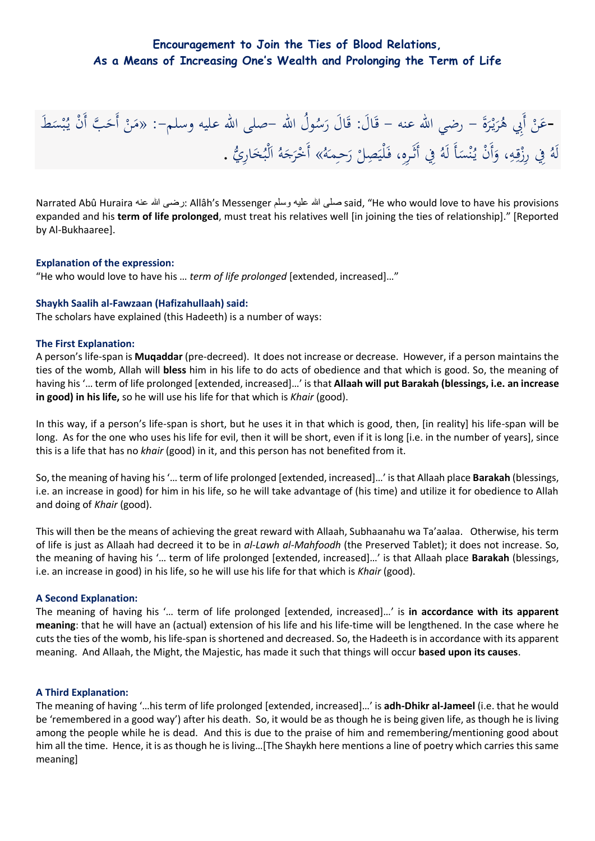# **Encouragement to Join the Ties of Blood Relations, As a Means of Increasing One's Wealth and Prolonging the Term of Life**

ة<br>ا -عَنْ أَبِي هُرَيْرَةَ – رضي الله عنه – قَالَ: قَالَ رَسُولُ الله –صلى الله عليه وسلم–: «مَنْ أَحَبَّ أَنْ يُبْسَطَ<br>-عَنْ أَبِي هُرَيْرَةَ – رضي الله عنه – قَالَ: قَالَ رَسُولُ الله –صلى الله عليه وسلم–: «مَنْ أَحَبَّ أَن َ اب<br>أ ر<br>ا ْ َ ق<br>ف  $\ddot{\phantom{0}}$ ب َ ْ  $\mathcal{L}$ لَ هُ فِي رِزْقِهِ، وَأَنْ يُنْسَأَ لَهُ فِي أَثَرِهِ، فَلْيَصِلْ رَحِمَهُ» أَخْرَجَهُ الْبُخَارِيُّ . ي ْ  $\overline{a}$ ن َ ُل<br>ا <u>لى</u> الم<br>ا  $\overline{a}$ ֧֦֧֦֧֦֧֦֧֦֧֝<br>֧֚֝ َ  $\frac{1}{2}$ ا َ ر<br>ا **ٔ** 

Narrated Abû Huraira عنه هللا رضى: Allâh's Messenger وسلم عليه هللا صلى said, "He who would love to have his provisions expanded and his **term of life prolonged**, must treat his relatives well [in joining the ties of relationship]." [Reported by Al-Bukhaaree].

#### **Explanation of the expression:**

"He who would love to have his … *term of life prolonged* [extended, increased]…"

#### **Shaykh Saalih al-Fawzaan (Hafizahullaah) said:**

The scholars have explained (this Hadeeth) is a number of ways:

#### **The First Explanation:**

A person's life-span is **Muqaddar** (pre-decreed). It does not increase or decrease. However, if a person maintains the ties of the womb, Allah will **bless** him in his life to do acts of obedience and that which is good. So, the meaning of having his '… term of life prolonged [extended, increased]…' is that **Allaah will put Barakah (blessings, i.e. an increase in good) in his life,** so he will use his life for that which is *Khair* (good).

In this way, if a person's life-span is short, but he uses it in that which is good, then, [in reality] his life-span will be long. As for the one who uses his life for evil, then it will be short, even if it is long [i.e. in the number of years], since this is a life that has no *khair* (good) in it, and this person has not benefited from it.

So, the meaning of having his '… term of life prolonged [extended, increased]…' is that Allaah place **Barakah** (blessings, i.e. an increase in good) for him in his life, so he will take advantage of (his time) and utilize it for obedience to Allah and doing of *Khair* (good).

This will then be the means of achieving the great reward with Allaah, Subhaanahu wa Ta'aalaa. Otherwise, his term of life is just as Allaah had decreed it to be in *al-Lawh al-Mahfoodh* (the Preserved Tablet); it does not increase. So, the meaning of having his '… term of life prolonged [extended, increased]…' is that Allaah place **Barakah** (blessings, i.e. an increase in good) in his life, so he will use his life for that which is *Khair* (good).

#### **A Second Explanation:**

The meaning of having his '… term of life prolonged [extended, increased]…' is **in accordance with its apparent meaning**: that he will have an (actual) extension of his life and his life-time will be lengthened. In the case where he cuts the ties of the womb, his life-span is shortened and decreased. So, the Hadeeth is in accordance with its apparent meaning. And Allaah, the Might, the Majestic, has made it such that things will occur **based upon its causes**.

#### **A Third Explanation:**

The meaning of having '…his term of life prolonged [extended, increased]…' is **adh-Dhikr al-Jameel** (i.e. that he would be 'remembered in a good way') after his death. So, it would be as though he is being given life, as though he is living among the people while he is dead. And this is due to the praise of him and remembering/mentioning good about him all the time. Hence, it is as though he is living…[The Shaykh here mentions a line of poetry which carries this same meaning]